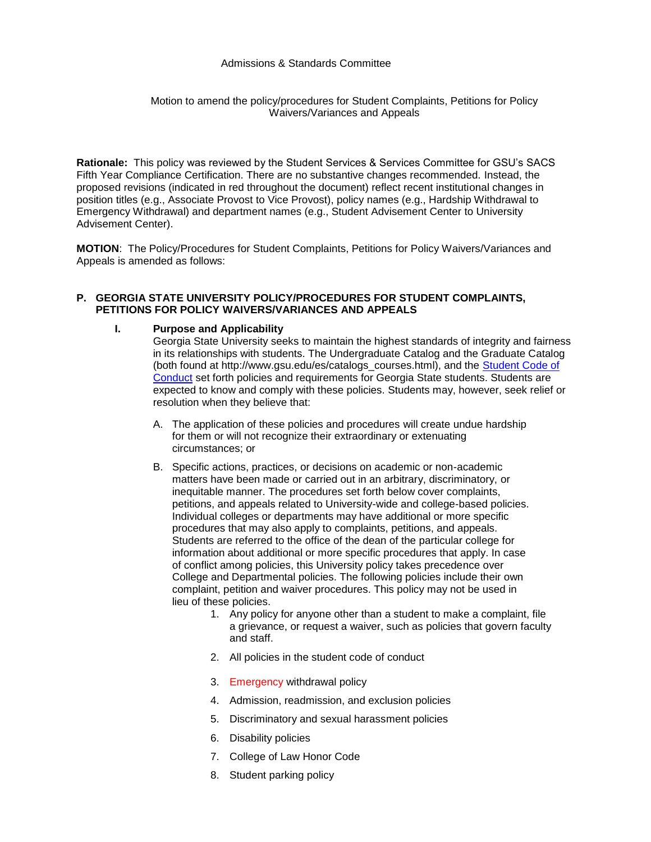#### Admissions & Standards Committee

Motion to amend the policy/procedures for Student Complaints, Petitions for Policy Waivers/Variances and Appeals

**Rationale:** This policy was reviewed by the Student Services & Services Committee for GSU's SACS Fifth Year Compliance Certification. There are no substantive changes recommended. Instead, the proposed revisions (indicated in red throughout the document) reflect recent institutional changes in position titles (e.g., Associate Provost to Vice Provost), policy names (e.g., Hardship Withdrawal to Emergency Withdrawal) and department names (e.g., Student Advisement Center to University Advisement Center).

**MOTION**: The Policy/Procedures for Student Complaints, Petitions for Policy Waivers/Variances and Appeals is amended as follows:

### **P. GEORGIA STATE UNIVERSITY POLICY/PROCEDURES FOR STUDENT COMPLAINTS, PETITIONS FOR POLICY WAIVERS/VARIANCES AND APPEALS**

#### **I. Purpose and Applicability**

Georgia State University seeks to maintain the highest standards of integrity and fairness in its relationships with students. The Undergraduate Catalog and the Graduate Catalog (both found at http://www.gsu.edu/es/catalogs\_courses.html), and the [Student Code of](http://www.gsu.edu/codeofconduct)  [Conduct](http://www.gsu.edu/codeofconduct) set forth policies and requirements for Georgia State students. Students are expected to know and comply with these policies. Students may, however, seek relief or resolution when they believe that:

- *5B*A. The application of these policies and procedures will create undue hardship for them or will not recognize their extraordinary or extenuating circumstances; or
- B. Specific actions, practices, or decisions on academic or non-academic matters have been made or carried out in an arbitrary, discriminatory, or inequitable manner. The procedures set forth below cover complaints, petitions, and appeals related to University-wide and college-based policies. Individual colleges or departments may have additional or more specific procedures that may also apply to complaints, petitions, and appeals. Students are referred to the office of the dean of the particular college for information about additional or more specific procedures that apply. In case of conflict among policies, this University policy takes precedence over College and Departmental policies. The following policies include their own complaint, petition and waiver procedures. This policy may not be used in lieu of these policies.
	- 1. Any policy for anyone other than a student to make a complaint, file a grievance, or request a waiver, such as policies that govern faculty and staff.
	- 2. All policies in the student code of conduct
	- 3. Emergency withdrawal policy
	- *61B*4. Admission, readmission, and exclusion policies
	- 5. Discriminatory and sexual harassment policies
	- **6.** Disability policies
	- 7. College of Law Honor Code
	- 8. Student parking policy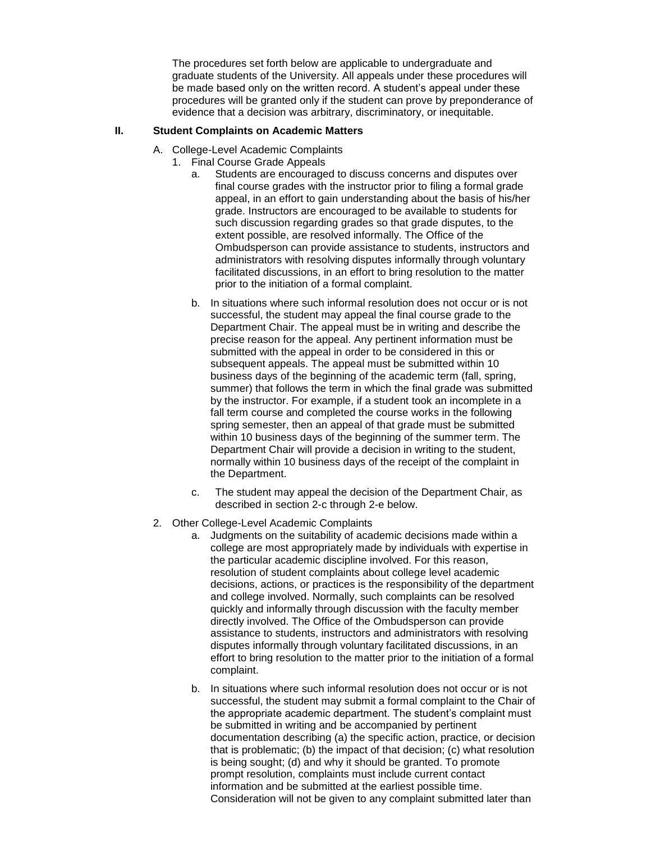The procedures set forth below are applicable to undergraduate and graduate students of the University. All appeals under these procedures will be made based only on the written record. A student's appeal under these procedures will be granted only if the student can prove by preponderance of evidence that a decision was arbitrary, discriminatory, or inequitable.

# **II. Student Complaints on Academic Matters**

- A. College-Level Academic Complaints
	- 1. Final Course Grade Appeals
		- a. Students are encouraged to discuss concerns and disputes over final course grades with the instructor prior to filing a formal grade appeal, in an effort to gain understanding about the basis of his/her grade. Instructors are encouraged to be available to students for such discussion regarding grades so that grade disputes, to the extent possible, are resolved informally. The Office of the Ombudsperson can provide assistance to students, instructors and administrators with resolving disputes informally through voluntary facilitated discussions, in an effort to bring resolution to the matter prior to the initiation of a formal complaint.
		- b. In situations where such informal resolution does not occur or is not successful, the student may appeal the final course grade to the Department Chair. The appeal must be in writing and describe the precise reason for the appeal. Any pertinent information must be submitted with the appeal in order to be considered in this or subsequent appeals. The appeal must be submitted within 10 business days of the beginning of the academic term (fall, spring, summer) that follows the term in which the final grade was submitted by the instructor. For example, if a student took an incomplete in a fall term course and completed the course works in the following spring semester, then an appeal of that grade must be submitted within 10 business days of the beginning of the summer term. The Department Chair will provide a decision in writing to the student, normally within 10 business days of the receipt of the complaint in the Department.
		- c. The student may appeal the decision of the Department Chair, as described in section 2-c through 2-e below.
- 2. Other College-Level Academic Complaints
	- a. Judgments on the suitability of academic decisions made within a college are most appropriately made by individuals with expertise in the particular academic discipline involved. For this reason, resolution of student complaints about college level academic decisions, actions, or practices is the responsibility of the department and college involved. Normally, such complaints can be resolved quickly and informally through discussion with the faculty member directly involved. The Office of the Ombudsperson can provide assistance to students, instructors and administrators with resolving disputes informally through voluntary facilitated discussions, in an effort to bring resolution to the matter prior to the initiation of a formal complaint.
	- b. In situations where such informal resolution does not occur or is not successful, the student may submit a formal complaint to the Chair of the appropriate academic department. The student's complaint must be submitted in writing and be accompanied by pertinent documentation describing (a) the specific action, practice, or decision that is problematic; (b) the impact of that decision; (c) what resolution is being sought; (d) and why it should be granted. To promote prompt resolution, complaints must include current contact information and be submitted at the earliest possible time. Consideration will not be given to any complaint submitted later than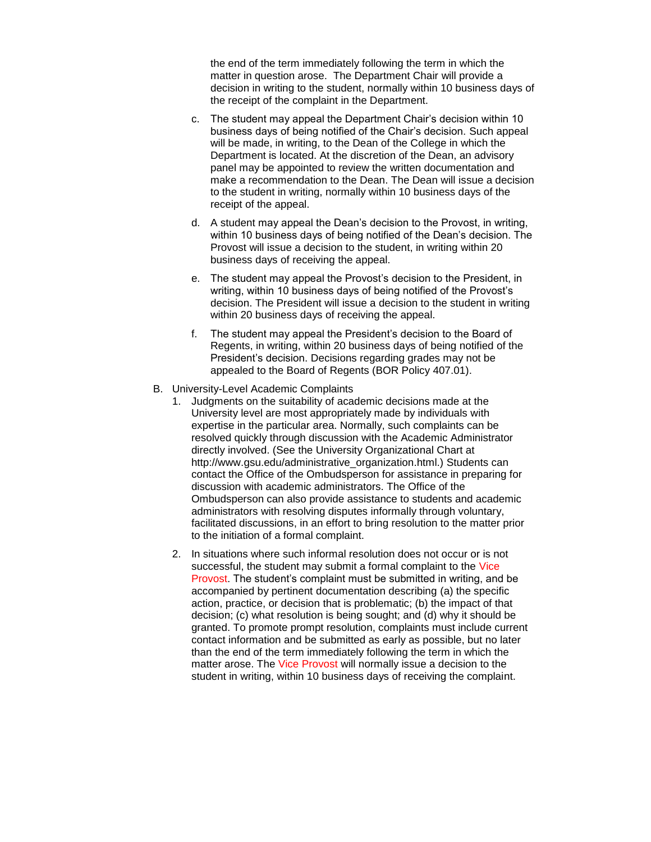the end of the term immediately following the term in which the matter in question arose. The Department Chair will provide a decision in writing to the student, normally within 10 business days of the receipt of the complaint in the Department.

- c. The student may appeal the Department Chair's decision within 10 business days of being notified of the Chair's decision. Such appeal will be made, in writing, to the Dean of the College in which the Department is located. At the discretion of the Dean, an advisory panel may be appointed to review the written documentation and make a recommendation to the Dean. The Dean will issue a decision to the student in writing, normally within 10 business days of the receipt of the appeal.
- d. A student may appeal the Dean's decision to the Provost, in writing, within 10 business days of being notified of the Dean's decision. The Provost will issue a decision to the student, in writing within 20 business days of receiving the appeal.
- e. The student may appeal the Provost's decision to the President, in writing, within 10 business days of being notified of the Provost's decision. The President will issue a decision to the student in writing within 20 business days of receiving the appeal.
- f. The student may appeal the President's decision to the Board of Regents, in writing, within 20 business days of being notified of the President's decision. Decisions regarding grades may not be appealed to the Board of Regents (BOR Policy 407.01).
- B. University-Level Academic Complaints
	- 1. Judgments on the suitability of academic decisions made at the University level are most appropriately made by individuals with expertise in the particular area. Normally, such complaints can be resolved quickly through discussion with the Academic Administrator directly involved. (See the University Organizational Chart at http://www.gsu.edu/administrative\_organization.html.) Students can contact the Office of the Ombudsperson for assistance in preparing for discussion with academic administrators. The Office of the Ombudsperson can also provide assistance to students and academic administrators with resolving disputes informally through voluntary, facilitated discussions, in an effort to bring resolution to the matter prior to the initiation of a formal complaint.
	- 2. In situations where such informal resolution does not occur or is not successful, the student may submit a formal complaint to the Vice Provost. The student's complaint must be submitted in writing, and be accompanied by pertinent documentation describing (a) the specific action, practice, or decision that is problematic; (b) the impact of that decision; (c) what resolution is being sought; and (d) why it should be granted. To promote prompt resolution, complaints must include current contact information and be submitted as early as possible, but no later than the end of the term immediately following the term in which the matter arose. The Vice Provost will normally issue a decision to the student in writing, within 10 business days of receiving the complaint.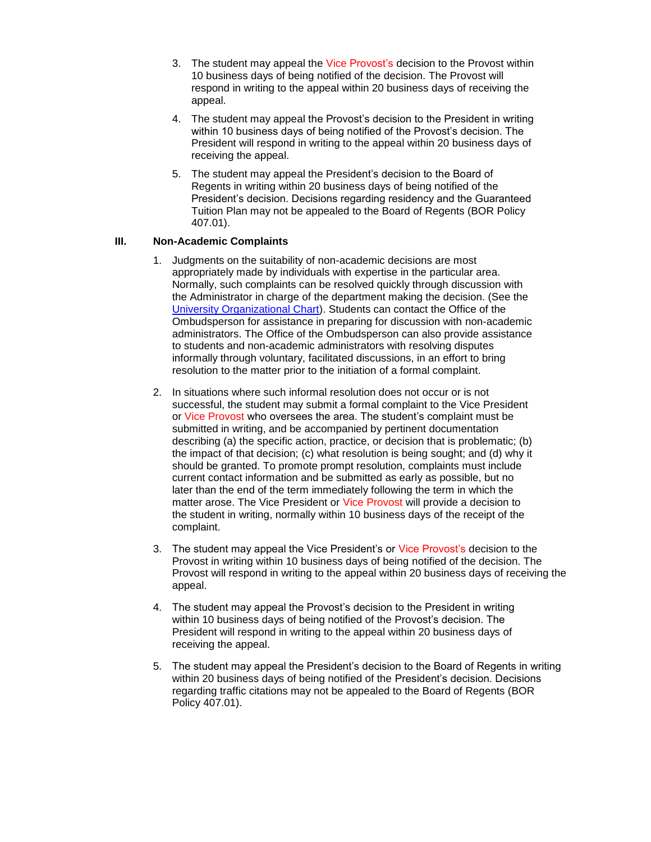- 3. The student may appeal the Vice Provost's decision to the Provost within 10 business days of being notified of the decision. The Provost will respond in writing to the appeal within 20 business days of receiving the appeal.
- 4. The student may appeal the Provost's decision to the President in writing within 10 business days of being notified of the Provost's decision. The President will respond in writing to the appeal within 20 business days of receiving the appeal.
- 5. The student may appeal the President's decision to the Board of Regents in writing within 20 business days of being notified of the President's decision. Decisions regarding residency and the Guaranteed Tuition Plan may not be appealed to the Board of Regents (BOR Policy 407.01).

# **III. Non-Academic Complaints**

- 1. Judgments on the suitability of non-academic decisions are most appropriately made by individuals with expertise in the particular area. Normally, such complaints can be resolved quickly through discussion with the Administrator in charge of the department making the decision. (See the [University Organizational Chart\)](http://www.gsu.edu/administrative_organization.html). Students can contact the Office of the Ombudsperson for assistance in preparing for discussion with non-academic administrators. The Office of the Ombudsperson can also provide assistance to students and non-academic administrators with resolving disputes informally through voluntary, facilitated discussions, in an effort to bring resolution to the matter prior to the initiation of a formal complaint.
- 2. In situations where such informal resolution does not occur or is not successful, the student may submit a formal complaint to the Vice President or Vice Provost who oversees the area. The student's complaint must be submitted in writing, and be accompanied by pertinent documentation describing (a) the specific action, practice, or decision that is problematic; (b) the impact of that decision; (c) what resolution is being sought; and (d) why it should be granted. To promote prompt resolution, complaints must include current contact information and be submitted as early as possible, but no later than the end of the term immediately following the term in which the matter arose. The Vice President or Vice Provost will provide a decision to the student in writing, normally within 10 business days of the receipt of the complaint.
- 3. The student may appeal the Vice President's or Vice Provost's decision to the Provost in writing within 10 business days of being notified of the decision. The Provost will respond in writing to the appeal within 20 business days of receiving the appeal.
- 4. The student may appeal the Provost's decision to the President in writing within 10 business days of being notified of the Provost's decision. The President will respond in writing to the appeal within 20 business days of receiving the appeal.
- 5. The student may appeal the President's decision to the Board of Regents in writing within 20 business days of being notified of the President's decision. Decisions regarding traffic citations may not be appealed to the Board of Regents (BOR Policy 407.01).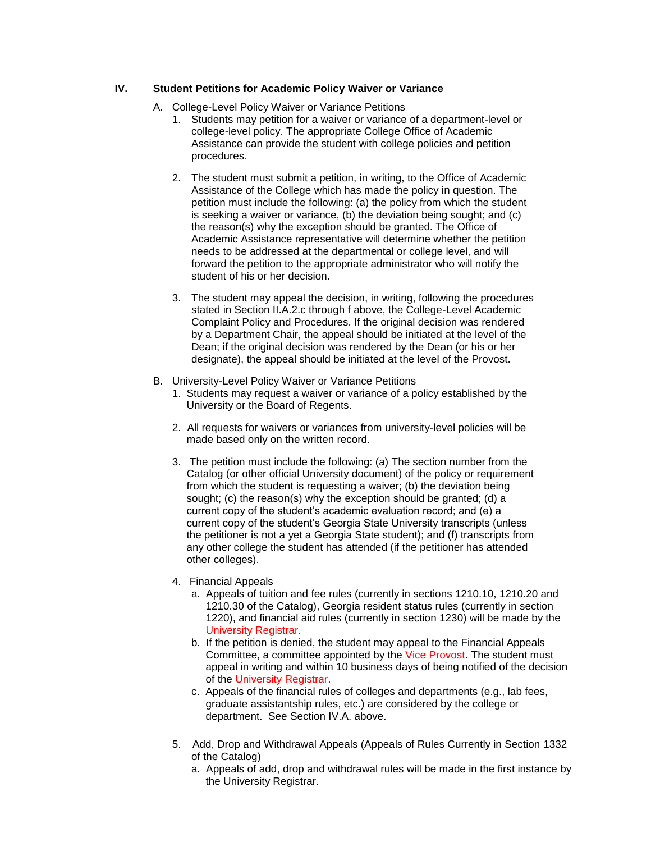### **IV. Student Petitions for Academic Policy Waiver or Variance**

- A. College-Level Policy Waiver or Variance Petitions
	- 1. Students may petition for a waiver or variance of a department-level or college-level policy. The appropriate College Office of Academic Assistance can provide the student with college policies and petition procedures.
	- 2. The student must submit a petition, in writing, to the Office of Academic Assistance of the College which has made the policy in question. The petition must include the following: (a) the policy from which the student is seeking a waiver or variance, (b) the deviation being sought; and (c) the reason(s) why the exception should be granted. The Office of Academic Assistance representative will determine whether the petition needs to be addressed at the departmental or college level, and will forward the petition to the appropriate administrator who will notify the student of his or her decision.
	- 3. The student may appeal the decision, in writing, following the procedures stated in Section II.A.2.c through f above, the College-Level Academic Complaint Policy and Procedures. If the original decision was rendered by a Department Chair, the appeal should be initiated at the level of the Dean; if the original decision was rendered by the Dean (or his or her designate), the appeal should be initiated at the level of the Provost.
- B. University-Level Policy Waiver or Variance Petitions
	- 1. *<sup>9</sup>*Students may request a waiver or variance of a policy established by the University or the Board of Regents.
	- 2. All requests for waivers or variances from university-level policies will be made based only on the written record.
	- 3. The petition must include the following: (a) The section number from the Catalog (or other official University document) of the policy or requirement from which the student is requesting a waiver; (b) the deviation being sought; (c) the reason(s) why the exception should be granted; (d) a current copy of the student's academic evaluation record; and (e) a current copy of the student's Georgia State University transcripts (unless the petitioner is not a yet a Georgia State student); and (f) transcripts from any other college the student has attended (if the petitioner has attended other colleges).
	- 4. Financial Appeals
		- a. Appeals of tuition and fee rules (currently in sections 1210.10, 1210.20 and 1210.30 of the Catalog), Georgia resident status rules (currently in section 1220), and financial aid rules (currently in section 1230) will be made by the University Registrar.
		- b. If the petition is denied, the student may appeal to the Financial Appeals Committee, a committee appointed by the Vice Provost. The student must appeal in writing and within 10 business days of being notified of the decision of the University Registrar.
		- c. Appeals of the financial rules of colleges and departments (e.g., lab fees, graduate assistantship rules, etc.) are considered by the college or department. See Section IV.A. above.
	- 5. Add, Drop and Withdrawal Appeals (Appeals of Rules Currently in Section 1332 of the Catalog)
		- a. Appeals of add, drop and withdrawal rules will be made in the first instance by the University Registrar.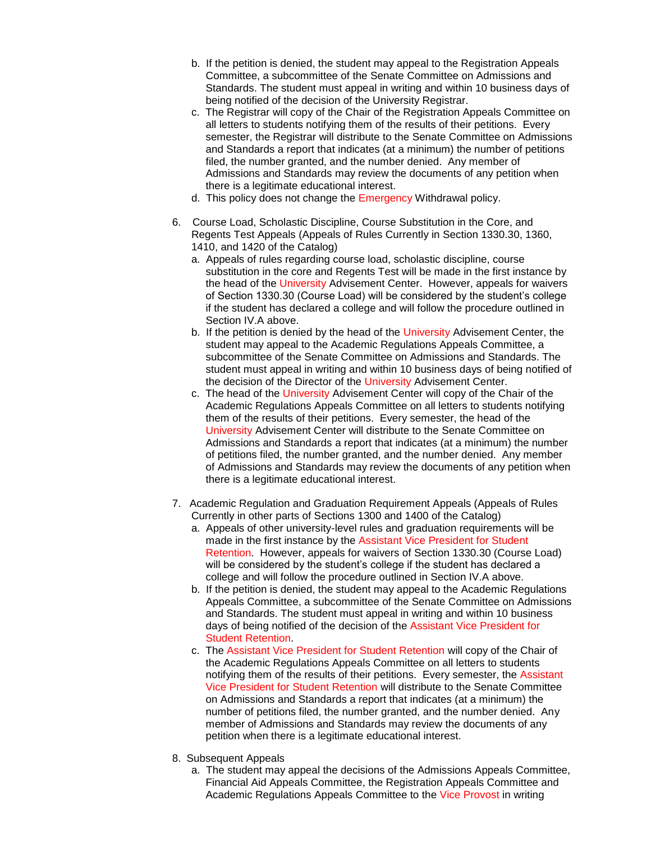- b. If the petition is denied, the student may appeal to the Registration Appeals Committee, a subcommittee of the Senate Committee on Admissions and Standards. The student must appeal in writing and within 10 business days of being notified of the decision of the University Registrar.
- c. The Registrar will copy of the Chair of the Registration Appeals Committee on all letters to students notifying them of the results of their petitions. Every semester, the Registrar will distribute to the Senate Committee on Admissions and Standards a report that indicates (at a minimum) the number of petitions filed, the number granted, and the number denied. Any member of Admissions and Standards may review the documents of any petition when there is a legitimate educational interest.
- d. This policy does not change the Emergency Withdrawal policy.
- 6. Course Load, Scholastic Discipline, Course Substitution in the Core, and Regents Test Appeals (Appeals of Rules Currently in Section 1330.30, 1360, 1410, and 1420 of the Catalog)
	- a. Appeals of rules regarding course load, scholastic discipline, course substitution in the core and Regents Test will be made in the first instance by the head of the University Advisement Center. However, appeals for waivers of Section 1330.30 (Course Load) will be considered by the student's college if the student has declared a college and will follow the procedure outlined in Section IV.A above.
	- b. If the petition is denied by the head of the University Advisement Center, the student may appeal to the Academic Regulations Appeals Committee, a subcommittee of the Senate Committee on Admissions and Standards. The student must appeal in writing and within 10 business days of being notified of the decision of the Director of the University Advisement Center.
	- c. The head of the University Advisement Center will copy of the Chair of the Academic Regulations Appeals Committee on all letters to students notifying them of the results of their petitions. Every semester, the head of the University Advisement Center will distribute to the Senate Committee on Admissions and Standards a report that indicates (at a minimum) the number of petitions filed, the number granted, and the number denied. Any member of Admissions and Standards may review the documents of any petition when there is a legitimate educational interest.
- 7. Academic Regulation and Graduation Requirement Appeals (Appeals of Rules Currently in other parts of Sections 1300 and 1400 of the Catalog)
	- a. Appeals of other university-level rules and graduation requirements will be made in the first instance by the Assistant Vice President for Student Retention. However, appeals for waivers of Section 1330.30 (Course Load) will be considered by the student's college if the student has declared a college and will follow the procedure outlined in Section IV.A above.
	- b. If the petition is denied, the student may appeal to the Academic Regulations Appeals Committee, a subcommittee of the Senate Committee on Admissions and Standards. The student must appeal in writing and within 10 business days of being notified of the decision of the Assistant Vice President for Student Retention.
	- c. The Assistant Vice President for Student Retention will copy of the Chair of the Academic Regulations Appeals Committee on all letters to students notifying them of the results of their petitions. Every semester, the Assistant Vice President for Student Retention will distribute to the Senate Committee on Admissions and Standards a report that indicates (at a minimum) the number of petitions filed, the number granted, and the number denied. Any member of Admissions and Standards may review the documents of any petition when there is a legitimate educational interest.
- 8. Subsequent Appeals
	- a. The student may appeal the decisions of the Admissions Appeals Committee, Financial Aid Appeals Committee, the Registration Appeals Committee and Academic Regulations Appeals Committee to the Vice Provost in writing